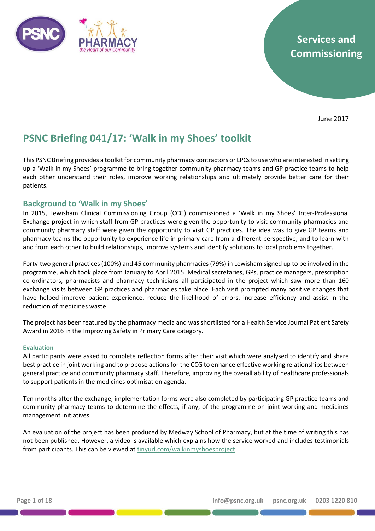

# **Services and Commissioning**

June 2017

# **PSNC Briefing 041/17: 'Walk in my Shoes' toolkit**

This PSNC Briefing provides a toolkit for community pharmacy contractors or LPCs to use who are interested in setting up a 'Walk in my Shoes' programme to bring together community pharmacy teams and GP practice teams to help each other understand their roles, improve working relationships and ultimately provide better care for their patients.

### **Background to 'Walk in my Shoes'**

In 2015, Lewisham Clinical Commissioning Group (CCG) commissioned a 'Walk in my Shoes' Inter-Professional Exchange project in which staff from GP practices were given the opportunity to visit community pharmacies and community pharmacy staff were given the opportunity to visit GP practices. The idea was to give GP teams and pharmacy teams the opportunity to experience life in primary care from a different perspective, and to learn with and from each other to build relationships, improve systems and identify solutions to local problems together.

Forty-two general practices (100%) and 45 community pharmacies (79%) in Lewisham signed up to be involved in the programme, which took place from January to April 2015. Medical secretaries, GPs, practice managers, prescription co-ordinators, pharmacists and pharmacy technicians all participated in the project which saw more than 160 exchange visits between GP practices and pharmacies take place. Each visit prompted many positive changes that have helped improve patient experience, reduce the likelihood of errors, increase efficiency and assist in the reduction of medicines waste.

The project has been featured by the pharmacy media and was shortlisted for a Health Service Journal Patient Safety Award in 2016 in the Improving Safety in Primary Care category.

#### **Evaluation**

All participants were asked to complete reflection forms after their visit which were analysed to identify and share best practice in joint working and to propose actions for the CCG to enhance effective working relationships between general practice and community pharmacy staff. Therefore, improving the overall ability of healthcare professionals to support patients in the medicines optimisation agenda.

Ten months after the exchange, implementation forms were also completed by participating GP practice teams and community pharmacy teams to determine the effects, if any, of the programme on joint working and medicines management initiatives.

An evaluation of the project has been produced by Medway School of Pharmacy, but at the time of writing this has not been published. However, a video is available which explains how the service worked and includes testimonials from participants. This can be viewed a[t tinyurl.com/walkinmyshoesproject](https://www.youtube.com/watch?v=ZdcBjT4Z3l0)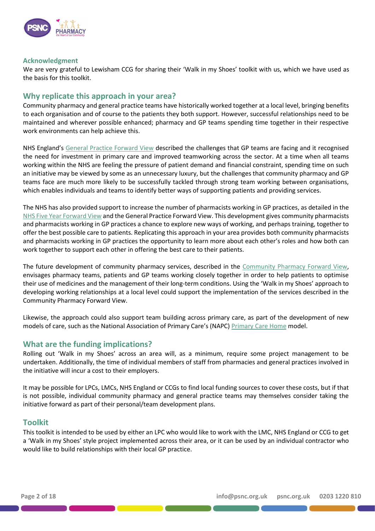

#### **Acknowledgment**

We are very grateful to Lewisham CCG for sharing their 'Walk in my Shoes' toolkit with us, which we have used as the basis for this toolkit.

## **Why replicate this approach in your area?**

Community pharmacy and general practice teams have historically worked together at a local level, bringing benefits to each organisation and of course to the patients they both support. However, successful relationships need to be maintained and wherever possible enhanced; pharmacy and GP teams spending time together in their respective work environments can help achieve this.

NHS England's [General Practice Forward View](https://www.england.nhs.uk/wp-content/uploads/2016/04/gpfv.pdf) described the challenges that GP teams are facing and it recognised the need for investment in primary care and improved teamworking across the sector. At a time when all teams working within the NHS are feeling the pressure of patient demand and financial constraint, spending time on such an initiative may be viewed by some as an unnecessary luxury, but the challenges that community pharmacy and GP teams face are much more likely to be successfully tackled through strong team working between organisations, which enables individuals and teams to identify better ways of supporting patients and providing services.

The NHS has also provided support to increase the number of pharmacists working in GP practices, as detailed in the [NHS Five Year Forward View](https://www.england.nhs.uk/five-year-forward-view/) and the General Practice Forward View. This development gives community pharmacists and pharmacists working in GP practices a chance to explore new ways of working, and perhaps training, together to offer the best possible care to patients. Replicating this approach in your area provides both community pharmacists and pharmacists working in GP practices the opportunity to learn more about each other's roles and how both can work together to support each other in offering the best care to their patients.

The future development of community pharmacy services, described in the Community Pharmacy [Forward View,](http://psnc.org.uk/services-commissioning/community-pharmacy-forward-view/) envisages pharmacy teams, patients and GP teams working closely together in order to help patients to optimise their use of medicines and the management of their long-term conditions. Using the 'Walk in my Shoes' approach to developing working relationships at a local level could support the implementation of the services described in the Community Pharmacy Forward View.

Likewise, the approach could also support team building across primary care, as part of the development of new models of care, such as the National Association of Primary Care's (NAPC) [Primary Care Home](http://www.napc.co.uk/primary-care-home) model.

### **What are the funding implications?**

Rolling out 'Walk in my Shoes' across an area will, as a minimum, require some project management to be undertaken. Additionally, the time of individual members of staff from pharmacies and general practices involved in the initiative will incur a cost to their employers.

It may be possible for LPCs, LMCs, NHS England or CCGs to find local funding sources to cover these costs, but if that is not possible, individual community pharmacy and general practice teams may themselves consider taking the initiative forward as part of their personal/team development plans.

### **Toolkit**

This toolkit is intended to be used by either an LPC who would like to work with the LMC, NHS England or CCG to get a 'Walk in my Shoes' style project implemented across their area, or it can be used by an individual contractor who would like to build relationships with their local GP practice.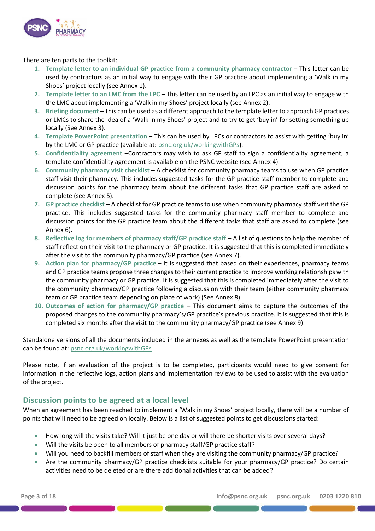

There are ten parts to the toolkit:

- **1. Template letter to an individual GP practice from a community pharmacy contractor** This letter can be used by contractors as an initial way to engage with their GP practice about implementing a 'Walk in my Shoes' project locally (see Annex 1).
- **2. Template letter to an LMC from the LPC**  This letter can be used by an LPC as an initial way to engage with the LMC about implementing a 'Walk in my Shoes' project locally (see Annex 2).
- **3. Briefing document –** This can be used as a different approach to the template letter to approach GP practices or LMCs to share the idea of a 'Walk in my Shoes' project and to try to get 'buy in' for setting something up locally (See Annex 3).
- **4. Template PowerPoint presentation** This can be used by LPCs or contractors to assist with getting 'buy in' by the LMC or GP practice (available at: [psnc.org.uk/workingwithGPs\)](http://psnc.org.uk/services-commissioning/working-with-gps/).
- **5. Confidentiality agreement** –Contractors may wish to ask GP staff to sign a confidentiality agreement; a template confidentiality agreement is available on the PSNC website (see Annex 4).
- **6. Community pharmacy visit checklist** A checklist for community pharmacy teams to use when GP practice staff visit their pharmacy. This includes suggested tasks for the GP practice staff member to complete and discussion points for the pharmacy team about the different tasks that GP practice staff are asked to complete (see Annex 5).
- **7. GP practice checklist**  A checklist for GP practice teams to use when community pharmacy staff visit the GP practice. This includes suggested tasks for the community pharmacy staff member to complete and discussion points for the GP practice team about the different tasks that staff are asked to complete (see Annex 6).
- 8. Reflective log for members of pharmacy staff/GP practice staff A list of questions to help the member of staff reflect on their visit to the pharmacy or GP practice. It is suggested that this is completed immediately after the visit to the community pharmacy/GP practice (see Annex 7).
- **9. Action plan for pharmacy/GP practice –** It is suggested that based on their experiences, pharmacy teams and GP practice teams propose three changes to their current practice to improve working relationships with the community pharmacy or GP practice. It is suggested that this is completed immediately after the visit to the community pharmacy/GP practice following a discussion with their team (either community pharmacy team or GP practice team depending on place of work) (See Annex 8).
- **10. Outcomes of action for pharmacy/GP practice** This document aims to capture the outcomes of the proposed changes to the community pharmacy's/GP practice's previous practice. It is suggested that this is completed six months after the visit to the community pharmacy/GP practice (see Annex 9).

Standalone versions of all the documents included in the annexes as well as the template PowerPoint presentation can be found at: [psnc.org.uk/workingwithGPs](http://www.psnc.org.uk/workingwithGPs)

Please note, if an evaluation of the project is to be completed, participants would need to give consent for information in the reflective logs, action plans and implementation reviews to be used to assist with the evaluation of the project.

### **Discussion points to be agreed at a local level**

the contract of the contract of the contract of

When an agreement has been reached to implement a 'Walk in my Shoes' project locally, there will be a number of points that will need to be agreed on locally. Below is a list of suggested points to get discussions started:

- How long will the visits take? Will it just be one day or will there be shorter visits over several days?
- Will the visits be open to all members of pharmacy staff/GP practice staff?
- Will you need to backfill members of staff when they are visiting the community pharmacy/GP practice?
- Are the community pharmacy/GP practice checklists suitable for your pharmacy/GP practice? Do certain activities need to be deleted or are there additional activities that can be added?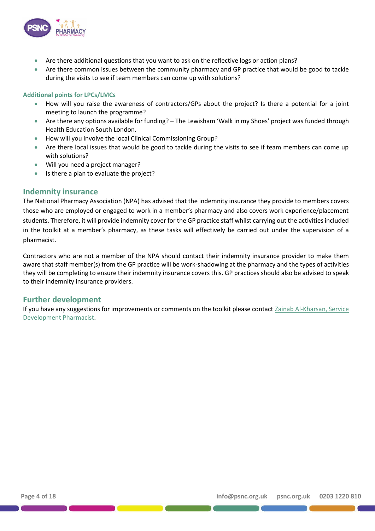

- Are there additional questions that you want to ask on the reflective logs or action plans?
- Are there common issues between the community pharmacy and GP practice that would be good to tackle during the visits to see if team members can come up with solutions?

#### **Additional points for LPCs/LMCs**

- How will you raise the awareness of contractors/GPs about the project? Is there a potential for a joint meeting to launch the programme?
- Are there any options available for funding? The Lewisham 'Walk in my Shoes' project was funded through Health Education South London.
- How will you involve the local Clinical Commissioning Group?
- Are there local issues that would be good to tackle during the visits to see if team members can come up with solutions?
- Will you need a project manager?
- Is there a plan to evaluate the project?

#### **Indemnity insurance**

The National Pharmacy Association (NPA) has advised that the indemnity insurance they provide to members covers those who are employed or engaged to work in a member's pharmacy and also covers work experience/placement students. Therefore, it will provide indemnity cover for the GP practice staff whilst carrying out the activities included in the toolkit at a member's pharmacy, as these tasks will effectively be carried out under the supervision of a pharmacist.

Contractors who are not a member of the NPA should contact their indemnity insurance provider to make them aware that staff member(s) from the GP practice will be work-shadowing at the pharmacy and the types of activities they will be completing to ensure their indemnity insurance covers this. GP practices should also be advised to speak to their indemnity insurance providers.

### **Further development**

If you have any suggestions for improvements or comments on the toolkit please contact [Zainab Al-Kharsan, Service](mailto:Zainab@psnc.org.uk) [Development Pharmacist.](mailto:Zainab@psnc.org.uk)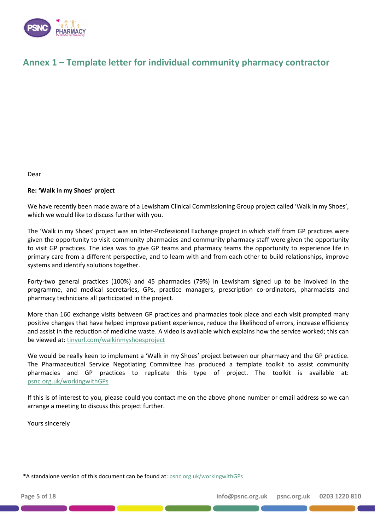

## **Annex 1 – Template letter for individual community pharmacy contractor**

Dear

#### **Re: 'Walk in my Shoes' project**

We have recently been made aware of a Lewisham Clinical Commissioning Group project called 'Walk in my Shoes', which we would like to discuss further with you.

The 'Walk in my Shoes' project was an Inter-Professional Exchange project in which staff from GP practices were given the opportunity to visit community pharmacies and community pharmacy staff were given the opportunity to visit GP practices. The idea was to give GP teams and pharmacy teams the opportunity to experience life in primary care from a different perspective, and to learn with and from each other to build relationships, improve systems and identify solutions together.

Forty-two general practices (100%) and 45 pharmacies (79%) in Lewisham signed up to be involved in the programme, and medical secretaries, GPs, practice managers, prescription co-ordinators, pharmacists and pharmacy technicians all participated in the project.

More than 160 exchange visits between GP practices and pharmacies took place and each visit prompted many positive changes that have helped improve patient experience, reduce the likelihood of errors, increase efficiency and assist in the reduction of medicine waste. A video is available which explains how the service worked; this can be viewed at: [tinyurl.com/walkinmyshoesproject](https://www.youtube.com/watch?v=ZdcBjT4Z3l0)

We would be really keen to implement a 'Walk in my Shoes' project between our pharmacy and the GP practice. The Pharmaceutical Service Negotiating Committee has produced a template toolkit to assist community pharmacies and GP practices to replicate this type of project. The toolkit is available at: [psnc.org.uk/workingwithGPs](http://www.psnc.org.uk/workingwithGPs)

If this is of interest to you, please could you contact me on the above phone number or email address so we can arrange a meeting to discuss this project further.

Yours sincerely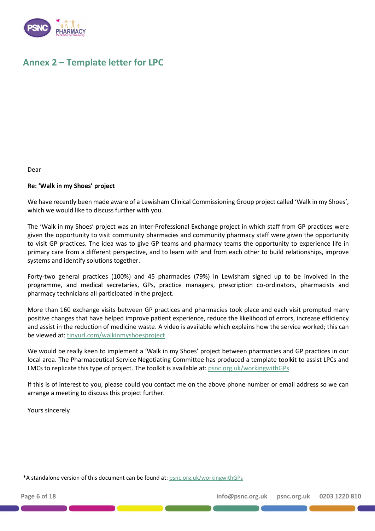

## **Annex 2 – Template letter for LPC**

Dear

#### **Re: 'Walk in my Shoes' project**

We have recently been made aware of a Lewisham Clinical Commissioning Group project called 'Walk in my Shoes', which we would like to discuss further with you.

The 'Walk in my Shoes' project was an Inter-Professional Exchange project in which staff from GP practices were given the opportunity to visit community pharmacies and community pharmacy staff were given the opportunity to visit GP practices. The idea was to give GP teams and pharmacy teams the opportunity to experience life in primary care from a different perspective, and to learn with and from each other to build relationships, improve systems and identify solutions together.

Forty-two general practices (100%) and 45 pharmacies (79%) in Lewisham signed up to be involved in the programme, and medical secretaries, GPs, practice managers, prescription co-ordinators, pharmacists and pharmacy technicians all participated in the project.

More than 160 exchange visits between GP practices and pharmacies took place and each visit prompted many positive changes that have helped improve patient experience, reduce the likelihood of errors, increase efficiency and assist in the reduction of medicine waste. A video is available which explains how the service worked; this can be viewed at: [tinyurl.com/walkinmyshoesproject](https://www.youtube.com/watch?v=ZdcBjT4Z3l0)

We would be really keen to implement a 'Walk in my Shoes' project between pharmacies and GP practices in our local area. The Pharmaceutical Service Negotiating Committee has produced a template toolkit to assist LPCs and LMCs to replicate this type of project. The toolkit is available at[: psnc.org.uk/workingwithGPs](http://www.psnc.org.uk/workingwithGPs)

If this is of interest to you, please could you contact me on the above phone number or email address so we can arrange a meeting to discuss this project further.

Yours sincerely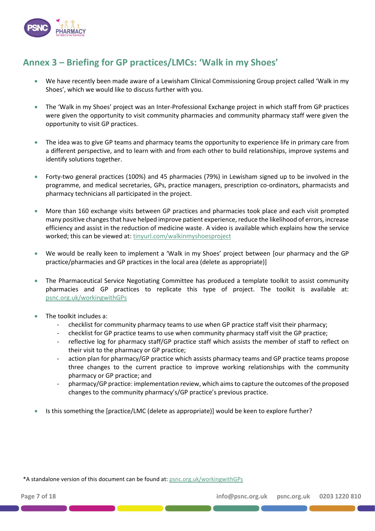

# **Annex 3 – Briefing for GP practices/LMCs: 'Walk in my Shoes'**

- We have recently been made aware of a Lewisham Clinical Commissioning Group project called 'Walk in my Shoes', which we would like to discuss further with you.
- The 'Walk in my Shoes' project was an Inter-Professional Exchange project in which staff from GP practices were given the opportunity to visit community pharmacies and community pharmacy staff were given the opportunity to visit GP practices.
- The idea was to give GP teams and pharmacy teams the opportunity to experience life in primary care from a different perspective, and to learn with and from each other to build relationships, improve systems and identify solutions together.
- Forty-two general practices (100%) and 45 pharmacies (79%) in Lewisham signed up to be involved in the programme, and medical secretaries, GPs, practice managers, prescription co-ordinators, pharmacists and pharmacy technicians all participated in the project.
- More than 160 exchange visits between GP practices and pharmacies took place and each visit prompted many positive changes that have helped improve patient experience, reduce the likelihood of errors, increase efficiency and assist in the reduction of medicine waste. A video is available which explains how the service worked; this can be viewed at: [tinyurl.com/walkinmyshoesproject](https://www.youtube.com/watch?v=ZdcBjT4Z3l0)
- We would be really keen to implement a 'Walk in my Shoes' project between [our pharmacy and the GP practice/pharmacies and GP practices in the local area (delete as appropriate)]
- The Pharmaceutical Service Negotiating Committee has produced a template toolkit to assist community pharmacies and GP practices to replicate this type of project. The toolkit is available at: [psnc.org.uk/workingwithGPs](http://www.psnc.org.uk/workingwithGPs)
- The toolkit includes a:
	- checklist for community pharmacy teams to use when GP practice staff visit their pharmacy;
	- checklist for GP practice teams to use when community pharmacy staff visit the GP practice;
	- reflective log for pharmacy staff/GP practice staff which assists the member of staff to reflect on their visit to the pharmacy or GP practice;
	- action plan for pharmacy/GP practice which assists pharmacy teams and GP practice teams propose three changes to the current practice to improve working relationships with the community pharmacy or GP practice; and
	- pharmacy/GP practice: implementation review, which aims to capture the outcomes of the proposed changes to the community pharmacy's/GP practice's previous practice.
- Is this something the [practice/LMC (delete as appropriate)] would be keen to explore further?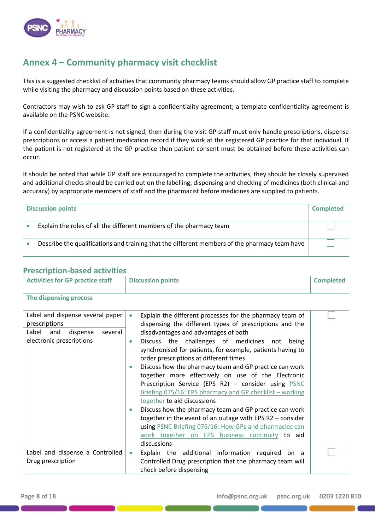

## **Annex 4 – Community pharmacy visit checklist**

This is a suggested checklist of activities that community pharmacy teams should allow GP practice staff to complete while visiting the pharmacy and discussion points based on these activities.

Contractors may wish to ask GP staff to sign a confidentiality agreement; a template confidentiality agreement is available on the PSNC website.

If a confidentiality agreement is not signed, then during the visit GP staff must only handle prescriptions, dispense prescriptions or access a patient medication record if they work at the registered GP practice for that individual. If the patient is not registered at the GP practice then patient consent must be obtained before these activities can occur.

It should be noted that while GP staff are encouraged to complete the activities, they should be closely supervised and additional checks should be carried out on the labelling, dispensing and checking of medicines (both clinical and accuracy) by appropriate members of staff and the pharmacist before medicines are supplied to patients.

| <b>Discussion points</b> |                                                                                               | <b>Completed</b> |
|--------------------------|-----------------------------------------------------------------------------------------------|------------------|
|                          | Explain the roles of all the different members of the pharmacy team                           |                  |
|                          | Describe the qualifications and training that the different members of the pharmacy team have |                  |

#### Activities for GP practice staff **Discussion points Completed Completed The dispensing process** Label and dispense several paper prescriptions • Explain the different processes for the pharmacy team of dispensing the different types of prescriptions and the disadvantages and advantages of both • Discuss the challenges of medicines not being synchronised for patients, for example, patients having to order prescriptions at different times • Discuss how the pharmacy team and GP practice can work together more effectively on use of the Electronic Prescription Service (EPS R2) – consider using [PSNC](http://psnc.org.uk/contract-it/psnc-briefings-pharmacy-contract-and-it/psnc-briefing-07516-eps-pharmacy-and-gp-checklist-working-together-december-2016/)  [Briefing 075/16: EPS pharmacy and GP checklist](http://psnc.org.uk/contract-it/psnc-briefings-pharmacy-contract-and-it/psnc-briefing-07516-eps-pharmacy-and-gp-checklist-working-together-december-2016/) – working [together](http://psnc.org.uk/contract-it/psnc-briefings-pharmacy-contract-and-it/psnc-briefing-07516-eps-pharmacy-and-gp-checklist-working-together-december-2016/) to aid discussions • Discuss how the pharmacy team and GP practice can work together in the event of an outage with EPS R2 – consider using [PSNC Briefing 076/16: How GPs and pharmacies can](http://psnc.org.uk/contract-it/psnc-briefings-pharmacy-contract-and-it/psnc-briefing-07616-how-gps-and-pharmacies-can-work-together-on-eps-business-continuity-december-2016/)  [work together on EPS business continuity](http://psnc.org.uk/contract-it/psnc-briefings-pharmacy-contract-and-it/psnc-briefing-07616-how-gps-and-pharmacies-can-work-together-on-eps-business-continuity-december-2016/) to aid discussions Label and dispense several electronic prescriptions Label and dispense a Controlled Drug prescription • Explain the additional information required on a Controlled Drug prescription that the pharmacy team will check before dispensing

### **Prescription-based activities**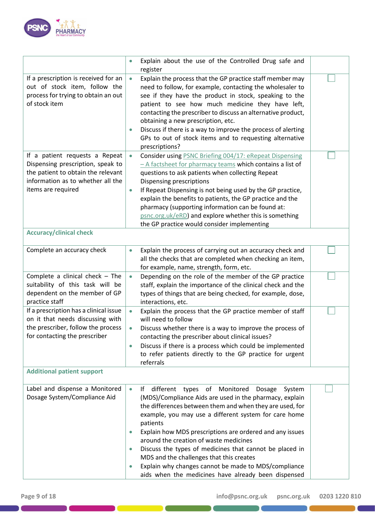

|                                                                                                                                                                      | Explain about the use of the Controlled Drug safe and<br>$\bullet$<br>register                                                                                                                                                                                                                                                                                                                                                                                                                                                                                                                           |  |
|----------------------------------------------------------------------------------------------------------------------------------------------------------------------|----------------------------------------------------------------------------------------------------------------------------------------------------------------------------------------------------------------------------------------------------------------------------------------------------------------------------------------------------------------------------------------------------------------------------------------------------------------------------------------------------------------------------------------------------------------------------------------------------------|--|
| If a prescription is received for an<br>out of stock item, follow the<br>process for trying to obtain an out<br>of stock item                                        | Explain the process that the GP practice staff member may<br>$\bullet$<br>need to follow, for example, contacting the wholesaler to<br>see if they have the product in stock, speaking to the<br>patient to see how much medicine they have left,<br>contacting the prescriber to discuss an alternative product,<br>obtaining a new prescription, etc.<br>Discuss if there is a way to improve the process of alerting<br>$\bullet$<br>GPs to out of stock items and to requesting alternative<br>prescriptions?                                                                                        |  |
| If a patient requests a Repeat<br>Dispensing prescription, speak to<br>the patient to obtain the relevant<br>information as to whether all the<br>items are required | Consider using <b>PSNC Briefing 004/17: eRepeat Dispensing</b><br>$\bullet$<br>- A factsheet for pharmacy teams which contains a list of<br>questions to ask patients when collecting Repeat<br>Dispensing prescriptions<br>If Repeat Dispensing is not being used by the GP practice,<br>$\bullet$<br>explain the benefits to patients, the GP practice and the<br>pharmacy (supporting information can be found at:<br>psnc.org.uk/eRD) and explore whether this is something<br>the GP practice would consider implementing                                                                           |  |
| <b>Accuracy/clinical check</b>                                                                                                                                       |                                                                                                                                                                                                                                                                                                                                                                                                                                                                                                                                                                                                          |  |
| Complete an accuracy check                                                                                                                                           | Explain the process of carrying out an accuracy check and<br>$\bullet$<br>all the checks that are completed when checking an item,<br>for example, name, strength, form, etc.                                                                                                                                                                                                                                                                                                                                                                                                                            |  |
| Complete a clinical check $-$ The<br>suitability of this task will be<br>dependent on the member of GP<br>practice staff                                             | Depending on the role of the member of the GP practice<br>$\bullet$<br>staff, explain the importance of the clinical check and the<br>types of things that are being checked, for example, dose,<br>interactions, etc.                                                                                                                                                                                                                                                                                                                                                                                   |  |
| If a prescription has a clinical issue<br>on it that needs discussing with<br>the prescriber, follow the process<br>for contacting the prescriber                    | Explain the process that the GP practice member of staff<br>$\bullet$<br>will need to follow<br>Discuss whether there is a way to improve the process of<br>٠<br>contacting the prescriber about clinical issues?<br>Discuss if there is a process which could be implemented<br>to refer patients directly to the GP practice for urgent<br>referrals                                                                                                                                                                                                                                                   |  |
| <b>Additional patient support</b>                                                                                                                                    |                                                                                                                                                                                                                                                                                                                                                                                                                                                                                                                                                                                                          |  |
| Label and dispense a Monitored<br>Dosage System/Compliance Aid                                                                                                       | different types of Monitored Dosage<br>System<br>$\bullet$<br>lt.<br>(MDS)/Compliance Aids are used in the pharmacy, explain<br>the differences between them and when they are used, for<br>example, you may use a different system for care home<br>patients<br>Explain how MDS prescriptions are ordered and any issues<br>۰<br>around the creation of waste medicines<br>Discuss the types of medicines that cannot be placed in<br>۰<br>MDS and the challenges that this creates<br>Explain why changes cannot be made to MDS/compliance<br>٠<br>aids when the medicines have already been dispensed |  |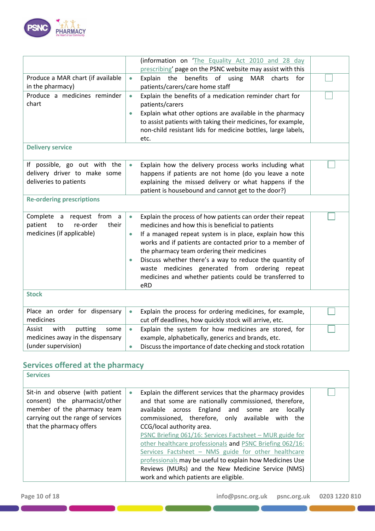

|                                    | (information on 'The Equality Act 2010 and 28 day<br>prescribing' page on the PSNC website may assist with this |  |
|------------------------------------|-----------------------------------------------------------------------------------------------------------------|--|
| Produce a MAR chart (if available  | Explain the<br>benefits of using<br><b>MAR</b><br>charts for                                                    |  |
|                                    | $\bullet$                                                                                                       |  |
| in the pharmacy)                   | patients/carers/care home staff                                                                                 |  |
| Produce a medicines reminder       | Explain the benefits of a medication reminder chart for<br>$\bullet$                                            |  |
| chart                              | patients/carers                                                                                                 |  |
|                                    | Explain what other options are available in the pharmacy<br>$\bullet$                                           |  |
|                                    | to assist patients with taking their medicines, for example,                                                    |  |
|                                    | non-child resistant lids for medicine bottles, large labels,                                                    |  |
|                                    | etc.                                                                                                            |  |
| <b>Delivery service</b>            |                                                                                                                 |  |
| If possible, go out with the       | Explain how the delivery process works including what<br>$\bullet$                                              |  |
| delivery driver to make some       | happens if patients are not home (do you leave a note                                                           |  |
| deliveries to patients             | explaining the missed delivery or what happens if the                                                           |  |
|                                    | patient is housebound and cannot get to the door?)                                                              |  |
| <b>Re-ordering prescriptions</b>   |                                                                                                                 |  |
|                                    |                                                                                                                 |  |
| Complete a request from<br>a       | Explain the process of how patients can order their repeat<br>$\bullet$                                         |  |
| patient<br>re-order<br>their<br>to | medicines and how this is beneficial to patients                                                                |  |
| medicines (if applicable)          | If a managed repeat system is in place, explain how this<br>$\bullet$                                           |  |
|                                    | works and if patients are contacted prior to a member of                                                        |  |
|                                    | the pharmacy team ordering their medicines                                                                      |  |
|                                    | Discuss whether there's a way to reduce the quantity of<br>$\bullet$                                            |  |
|                                    | waste medicines generated from ordering repeat                                                                  |  |
|                                    | medicines and whether patients could be transferred to                                                          |  |
|                                    | eRD                                                                                                             |  |
| <b>Stock</b>                       |                                                                                                                 |  |
| Place an order for dispensary      | Explain the process for ordering medicines, for example,<br>$\bullet$                                           |  |
| medicines                          | cut off deadlines, how quickly stock will arrive, etc.                                                          |  |
| with<br>putting<br>Assist<br>some  | Explain the system for how medicines are stored, for<br>$\bullet$                                               |  |
| medicines away in the dispensary   | example, alphabetically, generics and brands, etc.                                                              |  |
| (under supervision)                | Discuss the importance of date checking and stock rotation<br>$\bullet$                                         |  |

# **Services offered at the pharmacy**

| <b>Services</b>                                                                                                                                                    |                                                                                                                                                                                                                                                                                                                                                                                                                                                                                                                                                                                                  |  |
|--------------------------------------------------------------------------------------------------------------------------------------------------------------------|--------------------------------------------------------------------------------------------------------------------------------------------------------------------------------------------------------------------------------------------------------------------------------------------------------------------------------------------------------------------------------------------------------------------------------------------------------------------------------------------------------------------------------------------------------------------------------------------------|--|
| Sit-in and observe (with patient<br>consent) the pharmacist/other<br>member of the pharmacy team<br>carrying out the range of services<br>that the pharmacy offers | Explain the different services that the pharmacy provides<br>and that some are nationally commissioned, therefore,<br>available across England and some are<br>locally<br>commissioned, therefore, only available with the<br>CCG/local authority area.<br>PSNC Briefing 061/16: Services Factsheet - MUR guide for<br>other healthcare professionals and PSNC Briefing 062/16:<br>Services Factsheet - NMS guide for other healthcare<br>professionals may be useful to explain how Medicines Use<br>Reviews (MURs) and the New Medicine Service (NMS)<br>work and which patients are eligible. |  |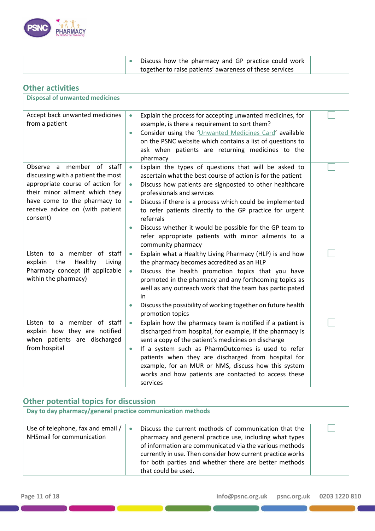| <b>PHARMACY</b><br>the Heart of our Community |
|-----------------------------------------------|
|                                               |

|  | Discuss how the pharmacy and GP practice could work     |  |
|--|---------------------------------------------------------|--|
|  | together to raise patients' awareness of these services |  |

| <b>Other activities</b>                                                                                                                                                                                                 |                                                                                                                                                                                                                                                                                                                                                                                                                                                                                                                                               |  |
|-------------------------------------------------------------------------------------------------------------------------------------------------------------------------------------------------------------------------|-----------------------------------------------------------------------------------------------------------------------------------------------------------------------------------------------------------------------------------------------------------------------------------------------------------------------------------------------------------------------------------------------------------------------------------------------------------------------------------------------------------------------------------------------|--|
| <b>Disposal of unwanted medicines</b>                                                                                                                                                                                   |                                                                                                                                                                                                                                                                                                                                                                                                                                                                                                                                               |  |
| Accept back unwanted medicines<br>from a patient                                                                                                                                                                        | Explain the process for accepting unwanted medicines, for<br>$\bullet$<br>example, is there a requirement to sort them?<br>Consider using the 'Unwanted Medicines Card' available<br>$\bullet$<br>on the PSNC website which contains a list of questions to<br>ask when patients are returning medicines to the<br>pharmacy                                                                                                                                                                                                                   |  |
| member of staff<br>Observe a<br>discussing with a patient the most<br>appropriate course of action for<br>their minor ailment which they<br>have come to the pharmacy to<br>receive advice on (with patient<br>consent) | Explain the types of questions that will be asked to<br>$\bullet$<br>ascertain what the best course of action is for the patient<br>Discuss how patients are signposted to other healthcare<br>$\bullet$<br>professionals and services<br>Discuss if there is a process which could be implemented<br>$\bullet$<br>to refer patients directly to the GP practice for urgent<br>referrals<br>Discuss whether it would be possible for the GP team to<br>$\bullet$<br>refer appropriate patients with minor ailments to a<br>community pharmacy |  |
| Listen to a member of staff<br>the<br>Healthy<br>explain<br>Living<br>Pharmacy concept (if applicable<br>within the pharmacy)                                                                                           | Explain what a Healthy Living Pharmacy (HLP) is and how<br>$\bullet$<br>the pharmacy becomes accredited as an HLP<br>Discuss the health promotion topics that you have<br>$\bullet$<br>promoted in the pharmacy and any forthcoming topics as<br>well as any outreach work that the team has participated<br>in<br>Discuss the possibility of working together on future health<br>$\bullet$<br>promotion topics                                                                                                                              |  |
| Listen to a member of staff<br>explain how they are notified<br>when patients are discharged<br>from hospital                                                                                                           | Explain how the pharmacy team is notified if a patient is<br>$\bullet$<br>discharged from hospital, for example, if the pharmacy is<br>sent a copy of the patient's medicines on discharge<br>If a system such as PharmOutcomes is used to refer<br>$\bullet$<br>patients when they are discharged from hospital for<br>example, for an MUR or NMS, discuss how this system<br>works and how patients are contacted to access these<br>services                                                                                               |  |

# **Other potential topics for discussion**

| Day to day pharmacy/general practice communication methods     |                                                                                                                                                                                                                                                                                                                                        |  |  |
|----------------------------------------------------------------|----------------------------------------------------------------------------------------------------------------------------------------------------------------------------------------------------------------------------------------------------------------------------------------------------------------------------------------|--|--|
| Use of telephone, fax and email /<br>NHSmail for communication | Discuss the current methods of communication that the<br>$\bullet$<br>pharmacy and general practice use, including what types<br>of information are communicated via the various methods<br>currently in use. Then consider how current practice works<br>for both parties and whether there are better methods<br>that could be used. |  |  |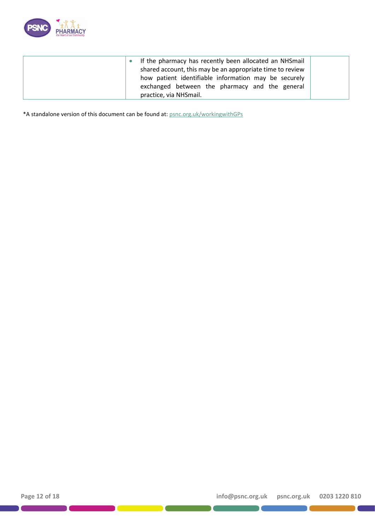

| If the pharmacy has recently been allocated an NHSmail    |
|-----------------------------------------------------------|
| shared account, this may be an appropriate time to review |
| how patient identifiable information may be securely      |
| exchanged between the pharmacy and the general            |
| practice, via NHSmail.                                    |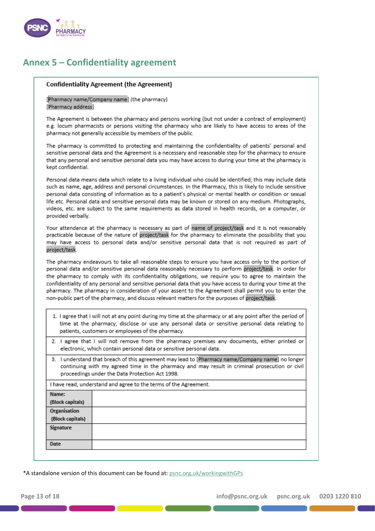

## **Annex 5 – Confidentiality agreement**

#### **Confidentiality Agreement (the Agreement)**

[Pharmacy name/Company name] (the pharmacy) [Pharmacy address]

The Agreement is between the pharmacy and persons working (but not under a contract of employment) e.g. locum pharmacists or persons visiting the pharmacy who are likely to have access to areas of the pharmacy not generally accessible by members of the public.

The pharmacy is committed to protecting and maintaining the confidentiality of patients' personal and sensitive personal data and the Agreement is a necessary and reasonable step for the pharmacy to ensure that any personal and sensitive personal data you may have access to during your time at the pharmacy is kept confidential.

Personal data means data which relate to a living individual who could be identified; this may include data such as name, age, address and personal circumstances. In the Pharmacy, this is likely to include sensitive personal data consisting of information as to a patient's physical or mental health or condition or sexual life etc. Personal data and sensitive personal data may be known or stored on any medium. Photographs, videos, etc. are subject to the same requirements as data stored in health records, on a computer, or provided verbally.

Your attendance at the pharmacy is necessary as part of name of project/task and it is not reasonably practicable because of the nature of project/task for the pharmacy to eliminate the possibility that you may have access to personal data and/or sensitive personal data that is not required as part of project/task.

The pharmacy endeavours to take all reasonable steps to ensure you have access only to the portion of personal data and/or sensitive personal data reasonably necessary to perform project/task. In order for the pharmacy to comply with its confidentiality obligations, we require you to agree to maintain the confidentiality of any personal and sensitive personal data that you have access to during your time at the pharmacy. The pharmacy in consideration of your assent to the Agreement shall permit you to enter the non-public part of the pharmacy, and discuss relevant matters for the purposes of project/task.

- 1. I agree that I will not at any point during my time at the pharmacy or at any point after the period of time at the pharmacy, disclose or use any personal data or sensitive personal data relating to patients, customers or employees of the pharmacy.
- 2. I agree that I will not remove from the pharmacy premises any documents, either printed or electronic, which contain personal data or sensitive personal data.
- 3. I understand that breach of this agreement may lead to [Pharmacy name/Company name] no longer continuing with my agreed time in the pharmacy and may result in criminal prosecution or civil proceedings under the Data Protection Act 1998.

I have read, understand and agree to the terms of the Agreement.

| Name:                                   |  |
|-----------------------------------------|--|
| (Block capitals)                        |  |
|                                         |  |
| <b>Organisation</b><br>(Block capitals) |  |
| Signature                               |  |
|                                         |  |
| Date                                    |  |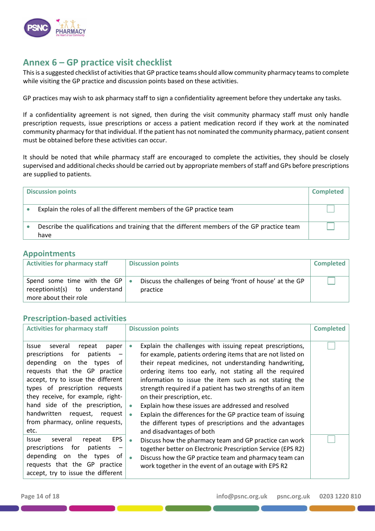

## **Annex 6 – GP practice visit checklist**

This is a suggested checklist of activities that GP practice teams should allow community pharmacy teams to complete while visiting the GP practice and discussion points based on these activities.

GP practices may wish to ask pharmacy staff to sign a confidentiality agreement before they undertake any tasks.

If a confidentiality agreement is not signed, then during the visit community pharmacy staff must only handle prescription requests, issue prescriptions or access a patient medication record if they work at the nominated community pharmacy for that individual. If the patient has not nominated the community pharmacy, patient consent must be obtained before these activities can occur.

It should be noted that while pharmacy staff are encouraged to complete the activities, they should be closely supervised and additional checks should be carried out by appropriate members of staff and GPs before prescriptions are supplied to patients.

| <b>Discussion points</b>                                                                            | <b>Completed</b> |
|-----------------------------------------------------------------------------------------------------|------------------|
| Explain the roles of all the different members of the GP practice team                              |                  |
| Describe the qualifications and training that the different members of the GP practice team<br>have |                  |

### **Appointments**

| <b>Activities for pharmacy staff</b>                                                            | <b>Discussion points</b>                                               | Completed |
|-------------------------------------------------------------------------------------------------|------------------------------------------------------------------------|-----------|
| Spend some time with the GP $\bullet$<br>receptionist(s) to understand<br>more about their role | Discuss the challenges of being 'front of house' at the GP<br>practice |           |

### **Prescription-based activities**

| <b>Activities for pharmacy staff</b>                                                                                                                                                                                                                                                                                                                                                                                                                                                                                                                                            | <b>Discussion points</b>                                                                                                                                                                                                                                                                                                                                                                                                                                                                                                                                                                                                                                                                                                                                                                                                                                                                                             | <b>Completed</b> |
|---------------------------------------------------------------------------------------------------------------------------------------------------------------------------------------------------------------------------------------------------------------------------------------------------------------------------------------------------------------------------------------------------------------------------------------------------------------------------------------------------------------------------------------------------------------------------------|----------------------------------------------------------------------------------------------------------------------------------------------------------------------------------------------------------------------------------------------------------------------------------------------------------------------------------------------------------------------------------------------------------------------------------------------------------------------------------------------------------------------------------------------------------------------------------------------------------------------------------------------------------------------------------------------------------------------------------------------------------------------------------------------------------------------------------------------------------------------------------------------------------------------|------------------|
| several<br>repeat<br>Issue<br>paper<br>prescriptions for patients<br>depending on the types of<br>requests that the GP practice<br>accept, try to issue the different<br>types of prescription requests<br>they receive, for example, right-<br>hand side of the prescription,<br>handwritten<br>request,<br>request<br>from pharmacy, online requests,<br>etc.<br><b>EPS</b><br>several<br>repeat<br>Issue<br>prescriptions for<br>patients<br>$\overline{\phantom{a}}$<br>depending on the types<br>of<br>requests that the GP practice<br>accept, try to issue the different | Explain the challenges with issuing repeat prescriptions,<br>$\bullet$<br>for example, patients ordering items that are not listed on<br>their repeat medicines, not understanding handwriting,<br>ordering items too early, not stating all the required<br>information to issue the item such as not stating the<br>strength required if a patient has two strengths of an item<br>on their prescription, etc.<br>Explain how these issues are addressed and resolved<br>٠<br>Explain the differences for the GP practice team of issuing<br>$\bullet$<br>the different types of prescriptions and the advantages<br>and disadvantages of both<br>Discuss how the pharmacy team and GP practice can work<br>$\bullet$<br>together better on Electronic Prescription Service (EPS R2)<br>Discuss how the GP practice team and pharmacy team can<br>$\bullet$<br>work together in the event of an outage with EPS R2 |                  |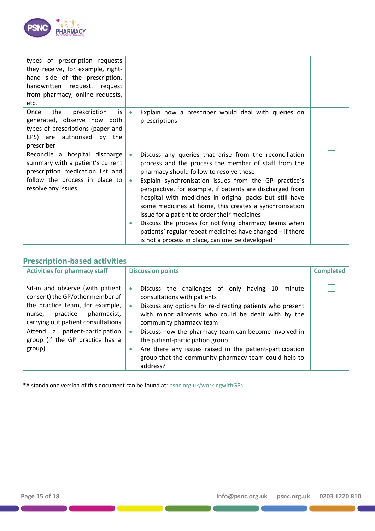

| types of prescription requests<br>they receive, for example, right-<br>hand side of the prescription,<br>handwritten<br>request, request<br>from pharmacy, online requests,<br>etc. |                                                                                                                                                                                                                                                                                                                                                                                                                                                                                                                                                                                                                                                                         |  |
|-------------------------------------------------------------------------------------------------------------------------------------------------------------------------------------|-------------------------------------------------------------------------------------------------------------------------------------------------------------------------------------------------------------------------------------------------------------------------------------------------------------------------------------------------------------------------------------------------------------------------------------------------------------------------------------------------------------------------------------------------------------------------------------------------------------------------------------------------------------------------|--|
| prescription<br>Once<br>the<br>is<br>generated, observe how both<br>types of prescriptions (paper and<br>EPS) are authorised by the<br>prescriber                                   | Explain how a prescriber would deal with queries on<br>$\bullet$<br>prescriptions                                                                                                                                                                                                                                                                                                                                                                                                                                                                                                                                                                                       |  |
| Reconcile a hospital discharge<br>summary with a patient's current<br>prescription medication list and<br>follow the process in place to<br>resolve any issues                      | Discuss any queries that arise from the reconciliation<br>$\bullet$<br>process and the process the member of staff from the<br>pharmacy should follow to resolve these<br>Explain synchronisation issues from the GP practice's<br>$\bullet$<br>perspective, for example, if patients are discharged from<br>hospital with medicines in original packs but still have<br>some medicines at home, this creates a synchronisation<br>issue for a patient to order their medicines<br>Discuss the process for notifying pharmacy teams when<br>$\bullet$<br>patients' regular repeat medicines have changed - if there<br>is not a process in place, can one be developed? |  |

## **Prescription-based activities**

| <b>Activities for pharmacy staff</b>                                                                                                                                              | <b>Discussion points</b>                                                                                                                                                                                                                     | <b>Completed</b> |
|-----------------------------------------------------------------------------------------------------------------------------------------------------------------------------------|----------------------------------------------------------------------------------------------------------------------------------------------------------------------------------------------------------------------------------------------|------------------|
| Sit-in and observe (with patient<br>consent) the GP/other member of<br>the practice team, for example,<br>pharmacist,<br>practice<br>nurse,<br>carrying out patient consultations | Discuss the challenges of only having 10<br>minute<br>$\bullet$<br>consultations with patients<br>Discuss any options for re-directing patients who present<br>with minor ailments who could be dealt with by the<br>community pharmacy team |                  |
| Attend a patient-participation<br>group (if the GP practice has a<br>group)                                                                                                       | Discuss how the pharmacy team can become involved in<br>the patient-participation group<br>Are there any issues raised in the patient-participation<br>group that the community pharmacy team could help to<br>address?                      |                  |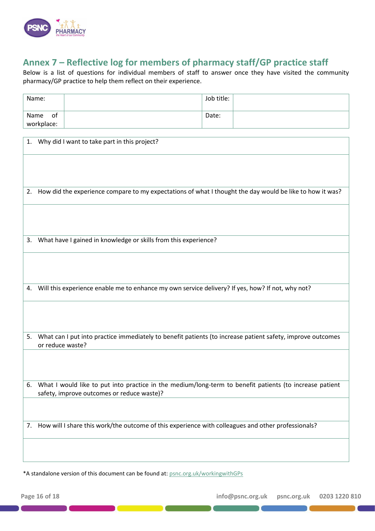

# **Annex 7 – Reflective log for members of pharmacy staff/GP practice staff**

Below is a list of questions for individual members of staff to answer once they have visited the community pharmacy/GP practice to help them reflect on their experience.

|      | Name:                                                                                                                                                 |                                                                                                            | Job title: |  |  |  |  |
|------|-------------------------------------------------------------------------------------------------------------------------------------------------------|------------------------------------------------------------------------------------------------------------|------------|--|--|--|--|
| Name | of                                                                                                                                                    |                                                                                                            | Date:      |  |  |  |  |
|      | workplace:                                                                                                                                            |                                                                                                            |            |  |  |  |  |
|      |                                                                                                                                                       | 1. Why did I want to take part in this project?                                                            |            |  |  |  |  |
|      |                                                                                                                                                       |                                                                                                            |            |  |  |  |  |
|      |                                                                                                                                                       |                                                                                                            |            |  |  |  |  |
| 2.   |                                                                                                                                                       | How did the experience compare to my expectations of what I thought the day would be like to how it was?   |            |  |  |  |  |
|      |                                                                                                                                                       |                                                                                                            |            |  |  |  |  |
|      |                                                                                                                                                       |                                                                                                            |            |  |  |  |  |
| 3.   |                                                                                                                                                       | What have I gained in knowledge or skills from this experience?                                            |            |  |  |  |  |
|      |                                                                                                                                                       |                                                                                                            |            |  |  |  |  |
|      |                                                                                                                                                       |                                                                                                            |            |  |  |  |  |
| 4.   |                                                                                                                                                       | Will this experience enable me to enhance my own service delivery? If yes, how? If not, why not?           |            |  |  |  |  |
|      |                                                                                                                                                       |                                                                                                            |            |  |  |  |  |
|      |                                                                                                                                                       |                                                                                                            |            |  |  |  |  |
| 5.   | or reduce waste?                                                                                                                                      | What can I put into practice immediately to benefit patients (to increase patient safety, improve outcomes |            |  |  |  |  |
|      |                                                                                                                                                       |                                                                                                            |            |  |  |  |  |
|      |                                                                                                                                                       |                                                                                                            |            |  |  |  |  |
| 6.   | What I would like to put into practice in the medium/long-term to benefit patients (to increase patient<br>safety, improve outcomes or reduce waste)? |                                                                                                            |            |  |  |  |  |
|      |                                                                                                                                                       |                                                                                                            |            |  |  |  |  |
| 7.   | How will I share this work/the outcome of this experience with colleagues and other professionals?                                                    |                                                                                                            |            |  |  |  |  |
|      |                                                                                                                                                       |                                                                                                            |            |  |  |  |  |
|      |                                                                                                                                                       |                                                                                                            |            |  |  |  |  |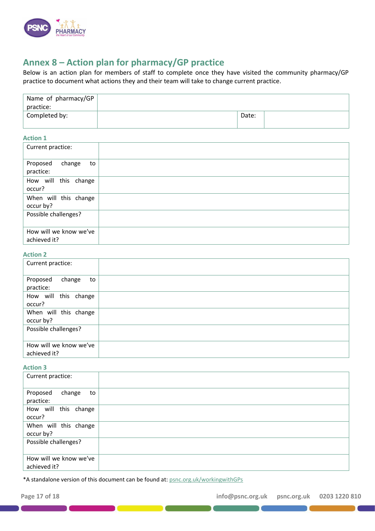

# **Annex 8 – Action plan for pharmacy/GP practice**

Below is an action plan for members of staff to complete once they have visited the community pharmacy/GP practice to document what actions they and their team will take to change current practice.

| Name of pharmacy/GP $ $<br>practice: |       |  |
|--------------------------------------|-------|--|
| Completed by:                        | Date: |  |

#### **Action 1**

| Current practice:                      |  |
|----------------------------------------|--|
| Proposed<br>change<br>to<br>practice:  |  |
| How will this change<br>occur?         |  |
| When will this change<br>occur by?     |  |
| Possible challenges?                   |  |
| How will we know we've<br>achieved it? |  |

#### **Action 2**

| Current practice:                      |  |
|----------------------------------------|--|
| Proposed<br>change<br>to<br>practice:  |  |
| How will this change<br>occur?         |  |
| When will this change<br>occur by?     |  |
| Possible challenges?                   |  |
| How will we know we've<br>achieved it? |  |

#### **Action 3**

| Current practice:                      |  |
|----------------------------------------|--|
| Proposed<br>change<br>to<br>practice:  |  |
| How will this change<br>occur?         |  |
| When will this change<br>occur by?     |  |
| Possible challenges?                   |  |
| How will we know we've<br>achieved it? |  |